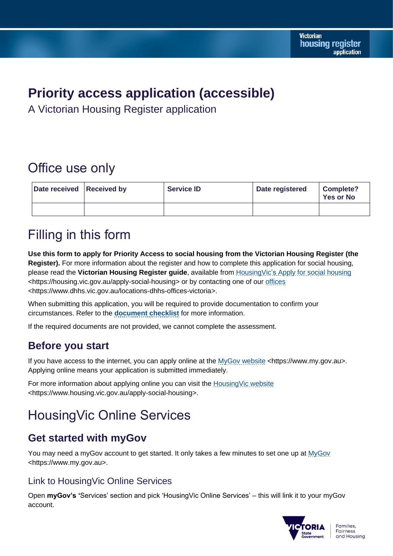# **Priority access application (accessible)**

A Victorian Housing Register application

# Office use only

| Date received Received by | <b>Service ID</b> | Date registered | <b>Complete?</b><br><b>Yes or No</b> |
|---------------------------|-------------------|-----------------|--------------------------------------|
|                           |                   |                 |                                      |

# Filling in this form

**Use this form to apply for Priority Access to social housing from the Victorian Housing Register (the Register).** For more information about the register and how to complete this application for social housing, please read the **Victorian Housing Register guide**, available from HousingVic's [Apply for social housing](https://dhhsvicgovau-my.sharepoint.com/personal/elpi_anasta_dffh_vic_gov_au/Documents/VHR%20Folder/Forms/RoI%20&%20Priority%20Access%20Form%20&%20SAR%20review/Housing.Vics%20Apply%20for%20social%20housing) <https://housing.vic.gov.au/apply-social-housing> or by contacting one of our [offices](https://www.dhhs.vic.gov.au/locations-dhhs-offices-victoria) <https://www.dhhs.vic.gov.au/locations-dhhs-offices-victoria>.

When submitting this application, you will be required to provide documentation to confirm your circumstances. Refer to the **[document checklist](#page-2-0)** for more information.

If the required documents are not provided, we cannot complete the assessment.

# **Before you start**

If you have access to the internet, you can apply online at the [MyGov website](https://www.my.gov.au/) <https://www.my.gov.au>. Applying online means your application is submitted immediately.

For more information about applying online you can visit the [HousingVic website](https://www.housing.vic.gov.au/apply-social-housing) <https://www.housing.vic.gov.au/apply-social-housing>.

# HousingVic Online Services

# **Get started with myGov**

You may need a myGov account to get started. It only takes a few minutes to set one up at [MyGov](https://www.my.gov.au/) <https://www.my.gov.au>.

## Link to HousingVic Online Services

Open **myGov's '**Services' section and pick 'HousingVic Online Services' – this will link it to your myGov account.

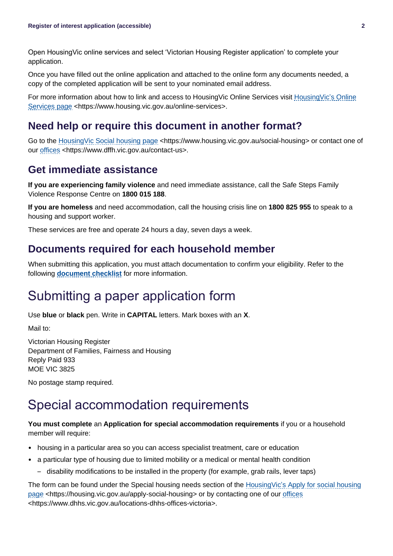Open HousingVic online services and select 'Victorian Housing Register application' to complete your application.

Once you have filled out the online application and attached to the online form any documents needed, a copy of the completed application will be sent to your nominated email address.

For more information about how to link and access to HousingVic Online Services visit [HousingVic's Online](https://www.housing.vic.gov.au/online-services)  [Services page](https://www.housing.vic.gov.au/online-services) <https://www.housing.vic.gov.au/online-services>.

## **Need help or require this document in another format?**

Go to the HousingVic [Social housing page](https://www.housing.vic.gov.au/social-housing) <https://www.housing.vic.gov.au/social-housing> or contact one of our [offices](https://www.dhhs.vic.gov.au/locations-dhhs-offices-victoria) <https://www.dffh.vic.gov.au/contact-us>.

### **Get immediate assistance**

**If you are experiencing family violence** and need immediate assistance, call the Safe Steps Family Violence Response Centre on **1800 015 188**.

**If you are homeless** and need accommodation, call the housing crisis line on **1800 825 955** to speak to a housing and support worker.

These services are free and operate 24 hours a day, seven days a week.

### **Documents required for each household member**

When submitting this application, you must attach documentation to confirm your eligibility. Refer to the following **[document checklist](#page-2-0)** for more information.

# Submitting a paper application form

Use **blue** or **black** pen. Write in **CAPITAL** letters. Mark boxes with an **X**.

Mail to:

Victorian Housing Register Department of Families, Fairness and Housing Reply Paid 933 MOE VIC 3825

No postage stamp required.

# Special accommodation requirements

#### **You must complete** an **Application for special accommodation requirements** if you or a household member will require:

- housing in a particular area so you can access specialist treatment, care or education
- a particular type of housing due to limited mobility or a medical or mental health condition
	- disability modifications to be installed in the property (for example, grab rails, lever taps)

The form can be found under the Special housing needs section of the [HousingVic's Apply for social housing](https://www.housing.vic.gov.au/apply-social-housing)  [page](https://www.housing.vic.gov.au/apply-social-housing) <https://housing.vic.gov.au/apply-social-housing> or by contacting one of our [offices](https://www.dhhs.vic.gov.au/locations-dhhs-offices-victoria) <https://www.dhhs.vic.gov.au/locations-dhhs-offices-victoria>.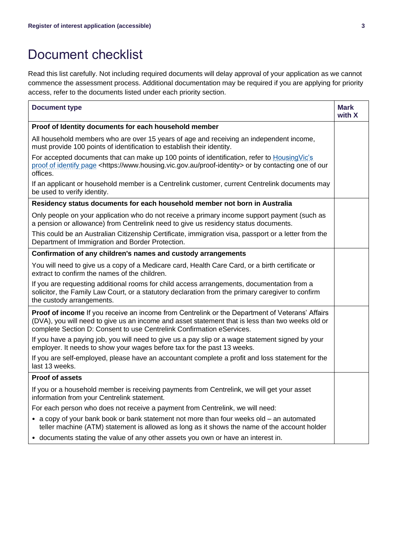# <span id="page-2-0"></span>Document checklist

Read this list carefully. Not including required documents will delay approval of your application as we cannot commence the assessment process. Additional documentation may be required if you are applying for priority access, refer to the documents listed under each priority section.

| <b>Document type</b>                                                                                                                                                                                                                                                         | <b>Mark</b><br>with X |
|------------------------------------------------------------------------------------------------------------------------------------------------------------------------------------------------------------------------------------------------------------------------------|-----------------------|
| Proof of Identity documents for each household member                                                                                                                                                                                                                        |                       |
| All household members who are over 15 years of age and receiving an independent income,<br>must provide 100 points of identification to establish their identity.                                                                                                            |                       |
| For accepted documents that can make up 100 points of identification, refer to HousingVic's<br>proof of identify page <https: proof-identity="" www.housing.vic.gov.au=""> or by contacting one of our<br/>offices.</https:>                                                 |                       |
| If an applicant or household member is a Centrelink customer, current Centrelink documents may<br>be used to verify identity.                                                                                                                                                |                       |
| Residency status documents for each household member not born in Australia                                                                                                                                                                                                   |                       |
| Only people on your application who do not receive a primary income support payment (such as<br>a pension or allowance) from Centrelink need to give us residency status documents.                                                                                          |                       |
| This could be an Australian Citizenship Certificate, immigration visa, passport or a letter from the<br>Department of Immigration and Border Protection.                                                                                                                     |                       |
| Confirmation of any children's names and custody arrangements                                                                                                                                                                                                                |                       |
| You will need to give us a copy of a Medicare card, Health Care Card, or a birth certificate or<br>extract to confirm the names of the children.                                                                                                                             |                       |
| If you are requesting additional rooms for child access arrangements, documentation from a<br>solicitor, the Family Law Court, or a statutory declaration from the primary caregiver to confirm<br>the custody arrangements.                                                 |                       |
| Proof of income If you receive an income from Centrelink or the Department of Veterans' Affairs<br>(DVA), you will need to give us an income and asset statement that is less than two weeks old or<br>complete Section D: Consent to use Centrelink Confirmation eServices. |                       |
| If you have a paying job, you will need to give us a pay slip or a wage statement signed by your<br>employer. It needs to show your wages before tax for the past 13 weeks.                                                                                                  |                       |
| If you are self-employed, please have an accountant complete a profit and loss statement for the<br>last 13 weeks.                                                                                                                                                           |                       |
| <b>Proof of assets</b>                                                                                                                                                                                                                                                       |                       |
| If you or a household member is receiving payments from Centrelink, we will get your asset<br>information from your Centrelink statement.                                                                                                                                    |                       |
| For each person who does not receive a payment from Centrelink, we will need:                                                                                                                                                                                                |                       |
| • a copy of your bank book or bank statement not more than four weeks old - an automated<br>teller machine (ATM) statement is allowed as long as it shows the name of the account holder                                                                                     |                       |
| • documents stating the value of any other assets you own or have an interest in.                                                                                                                                                                                            |                       |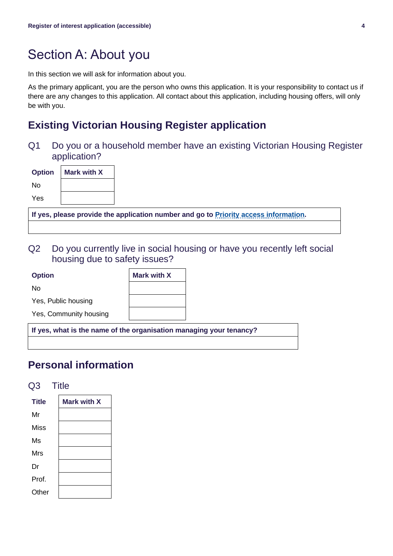# Section A: About you

In this section we will ask for information about you.

As the primary applicant, you are the person who owns this application. It is your responsibility to contact us if there are any changes to this application. All contact about this application, including housing offers, will only be with you.

# **Existing Victorian Housing Register application**

Q1 Do you or a household member have an existing Victorian Housing Register application?

| <b>Option</b> | <b>Mark with X</b> |
|---------------|--------------------|
| N٥            |                    |
| Yes           |                    |

**If yes, please provide the application number and go to [Priority access information.](#page-16-0)**

Q2 Do you currently live in social housing or have you recently left social housing due to safety issues?

| <b>Option</b>          | <b>Mark with X</b> |
|------------------------|--------------------|
| No                     |                    |
| Yes, Public housing    |                    |
| Yes, Community housing |                    |

**If yes, what is the name of the organisation managing your tenancy?**

# **Personal information**

#### Q3 Title

| <b>Title</b> | Mark with X |
|--------------|-------------|
| Mr           |             |
| Miss         |             |
| Ms           |             |
| Mrs          |             |
| Dr           |             |
| Prof.        |             |
| Other        |             |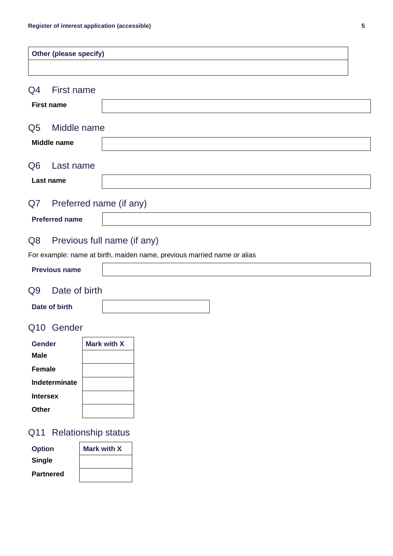|                               | <b>Other (please specify)</b>   |                                                                         |  |
|-------------------------------|---------------------------------|-------------------------------------------------------------------------|--|
|                               |                                 |                                                                         |  |
| Q4                            | First name<br><b>First name</b> |                                                                         |  |
| Q <sub>5</sub>                | Middle name                     |                                                                         |  |
|                               | <b>Middle name</b>              |                                                                         |  |
| Q <sub>6</sub>                | Last name<br>Last name          |                                                                         |  |
| Q7<br>Preferred name (if any) |                                 |                                                                         |  |
|                               | <b>Preferred name</b>           |                                                                         |  |
| Q <sub>8</sub>                |                                 | Previous full name (if any)                                             |  |
|                               |                                 | For example: name at birth, maiden name, previous married name or alias |  |
| <b>Previous name</b>          |                                 |                                                                         |  |

# Q9 Date of birth

| Date of birth |  |
|---------------|--|
|               |  |

### Q10 Gender

| Gender          | Mark with X |
|-----------------|-------------|
| <b>Male</b>     |             |
| <b>Female</b>   |             |
| Indeterminate   |             |
| <b>Intersex</b> |             |
| Other           |             |

# Q11 Relationship status

| <b>Option</b>    | <b>Mark with X</b> |
|------------------|--------------------|
| <b>Single</b>    |                    |
| <b>Partnered</b> |                    |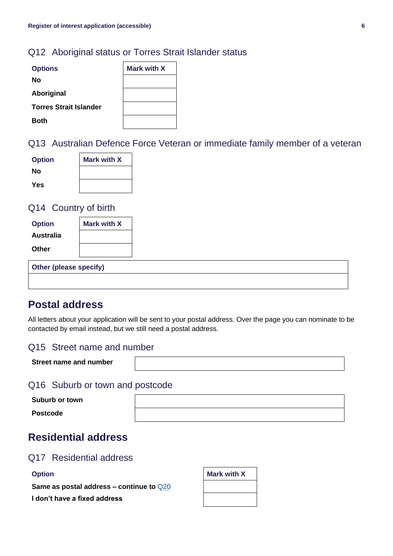### Q12 Aboriginal status or Torres Strait Islander status

| <b>Options</b>                | <b>Mark with X</b> |
|-------------------------------|--------------------|
| No                            |                    |
| Aboriginal                    |                    |
| <b>Torres Strait Islander</b> |                    |
| <b>Both</b>                   |                    |

### Q13 Australian Defence Force Veteran or immediate family member of a veteran

| <b>Option</b> | <b>Mark with X</b> |
|---------------|--------------------|
| Nο            |                    |
| Yes           |                    |

#### Q14 Country of birth

| <b>Option</b> | <b>Mark with X</b> |
|---------------|--------------------|
| Australia     |                    |
| Other         |                    |

| <b>Other (please specify)</b> |  |  |
|-------------------------------|--|--|
|                               |  |  |

## **Postal address**

All letters about your application will be sent to your postal address. Over the page you can nominate to be contacted by email instead, but we still need a postal address.

#### Q15 Street name and number

| Street name and number |  |
|------------------------|--|
|------------------------|--|

#### Q16 Suburb or town and postcode

**Suburb or town**

**Postcode**

# **Residential address**

#### Q17 Residential address

| <b>Option</b>                              | <b>Mark with X</b> |
|--------------------------------------------|--------------------|
| Same as postal address – continue to $Q20$ |                    |
| I don't have a fixed address               |                    |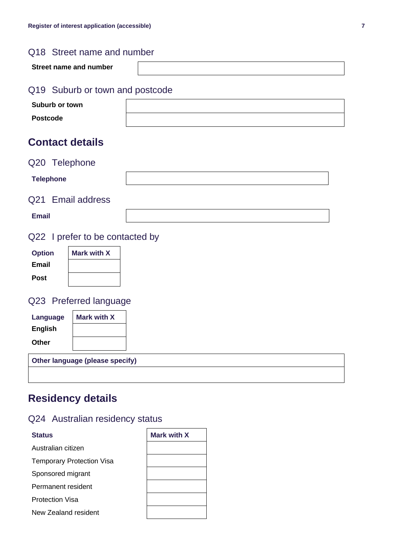### Q18 Street name and number

| Street name and number              |  |
|-------------------------------------|--|
| 040. Output on theme and months de- |  |

#### Q19 Suburb or town and postcode

| <b>Suburb or town</b> |  |
|-----------------------|--|
| <b>Postcode</b>       |  |

# **Contact details**

#### <span id="page-6-0"></span>Q20 Telephone

| <b>Telephone</b>  |  |
|-------------------|--|
| Q21 Email address |  |
| <b>Email</b>      |  |

# Q22 I prefer to be contacted by

| <b>Option</b> | <b>Mark with X</b> |
|---------------|--------------------|
| Email         |                    |
| <b>Post</b>   |                    |

# Q23 Preferred language

| Language                        | <b>Mark with X</b> |  |  |
|---------------------------------|--------------------|--|--|
| <b>English</b>                  |                    |  |  |
| Other                           |                    |  |  |
| Other language (please specify) |                    |  |  |
|                                 |                    |  |  |

# **Residency details**

### Q24 Australian residency status

| <b>Status</b>                    | Mark with X |
|----------------------------------|-------------|
| Australian citizen               |             |
| <b>Temporary Protection Visa</b> |             |
| Sponsored migrant                |             |
| Permanent resident               |             |
| <b>Protection Visa</b>           |             |
| New Zealand resident             |             |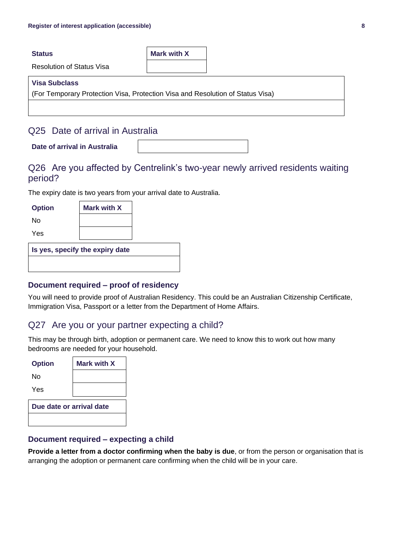**Status Mark with X** 

Resolution of Status Visa

#### **Visa Subclass**

(For Temporary Protection Visa, Protection Visa and Resolution of Status Visa)

#### Q25 Date of arrival in Australia

**Date of arrival in Australia**

#### Q26 Are you affected by Centrelink's two-year newly arrived residents waiting period?

The expiry date is two years from your arrival date to Australia.

| <b>Option</b>                   | <b>Mark with X</b> |  |
|---------------------------------|--------------------|--|
| No                              |                    |  |
| Yes                             |                    |  |
| Is yes, specify the expiry date |                    |  |
|                                 |                    |  |

#### **Document required – proof of residency**

You will need to provide proof of Australian Residency. This could be an Australian Citizenship Certificate, Immigration Visa, Passport or a letter from the Department of Home Affairs.

#### Q27 Are you or your partner expecting a child?

This may be through birth, adoption or permanent care. We need to know this to work out how many bedrooms are needed for your household.

| <b>Option</b>            | Mark with X |  |
|--------------------------|-------------|--|
| N٥                       |             |  |
| Yes                      |             |  |
| Due date or arrival date |             |  |
|                          |             |  |

#### **Document required – expecting a child**

**Provide a letter from a doctor confirming when the baby is due**, or from the person or organisation that is arranging the adoption or permanent care confirming when the child will be in your care.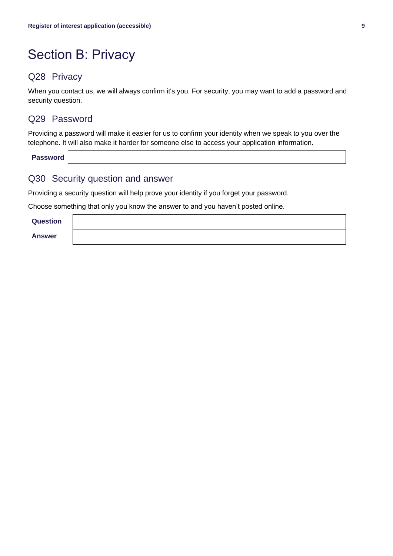# Section B: Privacy

#### Q28 Privacy

When you contact us, we will always confirm it's you. For security, you may want to add a password and security question.

#### Q29 Password

Providing a password will make it easier for us to confirm your identity when we speak to you over the telephone. It will also make it harder for someone else to access your application information.

**Password**

#### Q30 Security question and answer

Providing a security question will help prove your identity if you forget your password.

Choose something that only you know the answer to and you haven't posted online.

**Question**

**Answer**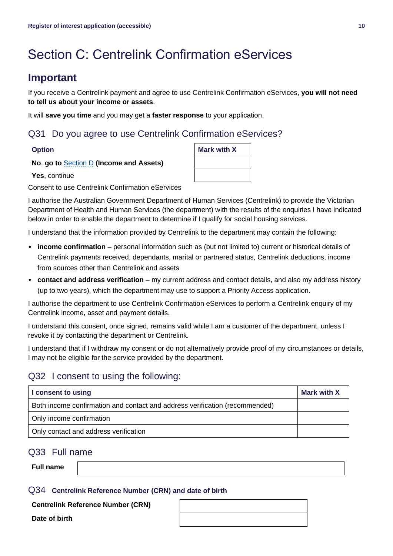# Section C: Centrelink Confirmation eServices

## **Important**

If you receive a Centrelink payment and agree to use Centrelink Confirmation eServices, **you will not need to tell us about your income or assets**.

It will **save you time** and you may get a **faster response** to your application.

#### Q31 Do you agree to use Centrelink Confirmation eServices?

**No**, **go to** [Section D](#page-10-0) **(Income and Assets)**

**Yes**, continue

Consent to use Centrelink Confirmation eServices

I authorise the Australian Government Department of Human Services (Centrelink) to provide the Victorian Department of Health and Human Services (the department) with the results of the enquiries I have indicated below in order to enable the department to determine if I qualify for social housing services.

I understand that the information provided by Centrelink to the department may contain the following:

- **income confirmation** personal information such as (but not limited to) current or historical details of Centrelink payments received, dependants, marital or partnered status, Centrelink deductions, income from sources other than Centrelink and assets
- **contact and address verification** my current address and contact details, and also my address history (up to two years), which the department may use to support a Priority Access application.

I authorise the department to use Centrelink Confirmation eServices to perform a Centrelink enquiry of my Centrelink income, asset and payment details.

I understand this consent, once signed, remains valid while I am a customer of the department, unless I revoke it by contacting the department or Centrelink.

I understand that if I withdraw my consent or do not alternatively provide proof of my circumstances or details, I may not be eligible for the service provided by the department.

### Q32 I consent to using the following:

| I consent to using                                                          | Mark with X |
|-----------------------------------------------------------------------------|-------------|
| Both income confirmation and contact and address verification (recommended) |             |
| Only income confirmation                                                    |             |
| Only contact and address verification                                       |             |

#### Q33 Full name

**Full name**

#### Q34 **Centrelink Reference Number (CRN) and date of birth**

**Centrelink Reference Number (CRN)**

**Date of birth**



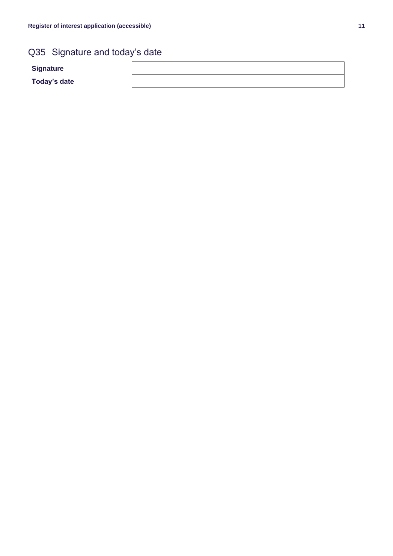# Q35 Signature and today's date

**Signature**

<span id="page-10-0"></span>**Today's date**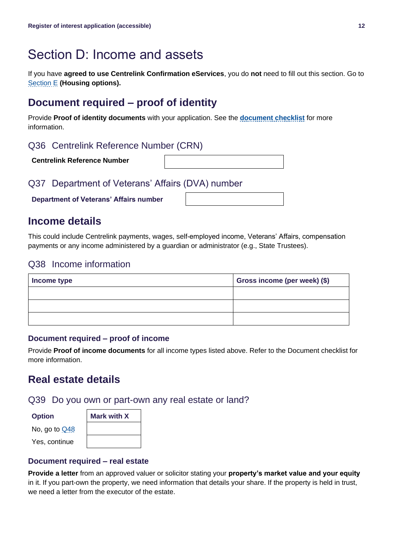# Section D: Income and assets

If you have **agreed to use Centrelink Confirmation eServices**, you do **not** need to fill out this section. Go to [Section E](#page-14-0) **(Housing options).**

# **Document required – proof of identity**

Provide **Proof of identity documents** with your application. See the **[document checklist](#page-2-0)** for more information.

#### Q36 Centrelink Reference Number (CRN)

**Centrelink Reference Number**

Q37 Department of Veterans' Affairs (DVA) number

**Department of Veterans' Affairs number**

**Income details**

This could include Centrelink payments, wages, self-employed income, Veterans' Affairs, compensation payments or any income administered by a guardian or administrator (e.g., State Trustees).

#### Q38 Income information

| Income type | Gross income (per week) (\$) |
|-------------|------------------------------|
|             |                              |
|             |                              |
|             |                              |

#### **Document required – proof of income**

Provide **Proof of income documents** for all income types listed above. Refer to the Document checklist for more information.

# **Real estate details**

Q39 Do you own or part-own any real estate or land?

| No, go to <u>Q48</u> |
|----------------------|
| Yes, continue        |

| <b>Option</b> | <b>Mark with X</b> |
|---------------|--------------------|
| No, go to Q48 |                    |
| Yes, continue |                    |

#### **Document required – real estate**

**Provide a letter** from an approved valuer or solicitor stating your **property's market value and your equity** in it. If you part-own the property, we need information that details your share. If the property is held in trust, we need a letter from the executor of the estate.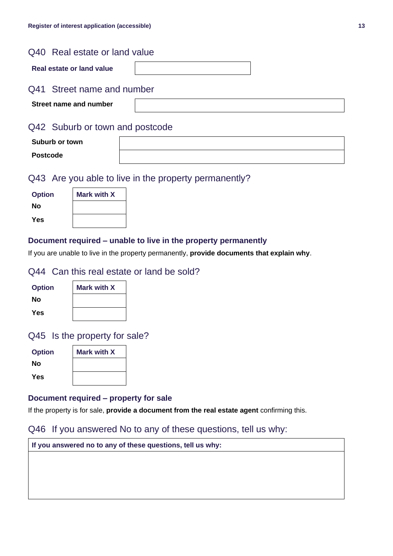#### Q40 Real estate or land value

| Real estate or land value |  |
|---------------------------|--|
|---------------------------|--|

#### Q41 Street name and number

**Street name and number**

#### Q42 Suburb or town and postcode

| Suburb or town  |  |
|-----------------|--|
| <b>Postcode</b> |  |

### Q43 Are you able to live in the property permanently?

| <b>Option</b> | <b>Mark with X</b> |
|---------------|--------------------|
| Nο            |                    |
| Yes           |                    |

#### **Document required – unable to live in the property permanently**

If you are unable to live in the property permanently, **provide documents that explain why**.

#### Q44 Can this real estate or land be sold?

| <b>Option</b> | <b>Mark with X</b> |
|---------------|--------------------|
| Nο            |                    |
| Yes           |                    |

#### Q45 Is the property for sale?

| <b>Option</b> | <b>Mark with X</b> |
|---------------|--------------------|
| Nο            |                    |
| Yes           |                    |

#### **Document required – property for sale**

If the property is for sale, **provide a document from the real estate agent** confirming this.

#### Q46 If you answered No to any of these questions, tell us why:

| If you answered no to any of these questions, tell us why: |  |  |
|------------------------------------------------------------|--|--|
|                                                            |  |  |
|                                                            |  |  |
|                                                            |  |  |
|                                                            |  |  |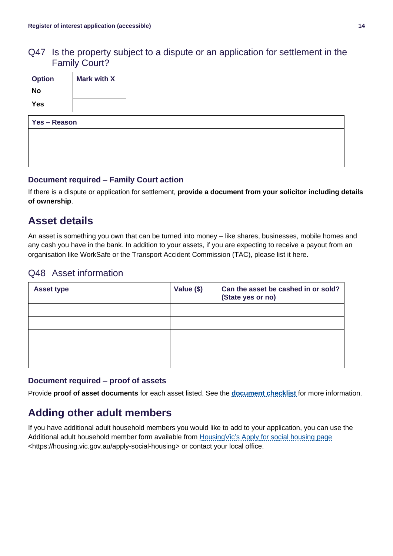### Q47 Is the property subject to a dispute or an application for settlement in the Family Court?

| <b>Option</b><br>No | <b>Mark with X</b> |
|---------------------|--------------------|
| Yes                 |                    |
| Yes - Reason        |                    |
|                     |                    |
|                     |                    |

#### **Document required – Family Court action**

If there is a dispute or application for settlement, **provide a document from your solicitor including details of ownership**.

# **Asset details**

An asset is something you own that can be turned into money – like shares, businesses, mobile homes and any cash you have in the bank. In addition to your assets, if you are expecting to receive a payout from an organisation like WorkSafe or the Transport Accident Commission (TAC), please list it here.

#### <span id="page-13-0"></span>Q48 Asset information

| <b>Asset type</b> | Value (\$) | Can the asset be cashed in or sold?<br>(State yes or no) |
|-------------------|------------|----------------------------------------------------------|
|                   |            |                                                          |
|                   |            |                                                          |
|                   |            |                                                          |
|                   |            |                                                          |
|                   |            |                                                          |

#### **Document required – proof of assets**

Provide **proof of asset documents** for each asset listed. See the **[document checklist](#page-2-0)** for more information.

# **Adding other adult members**

If you have additional adult household members you would like to add to your application, you can use the Additional adult household member form available from **HousingVic's Apply for social housing page** <https://housing.vic.gov.au/apply-social-housing> or contact your local office.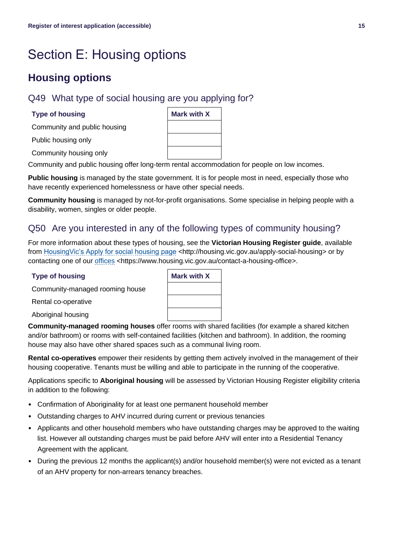# <span id="page-14-0"></span>Section E: Housing options

# **Housing options**

### Q49 What type of social housing are you applying for?

#### **Type of housing**

Community and public housing

Public housing only

Community housing only

Community and public housing offer long-term rental accommodation for people on low incomes.

**Public housing** is managed by the state government. It is for people most in need, especially those who have recently experienced homelessness or have other special needs.

**Community housing** is managed by not-for-profit organisations. Some specialise in helping people with a disability, women, singles or older people.

#### Q50 Are you interested in any of the following types of community housing?

For more information about these types of housing, see the **Victorian Housing Register guide**, available from [HousingVic's Apply for social housing page](https://housing.vic.gov.au/apply-social-housing) <http://housing.vic.gov.au/apply-social-housing> or by contacting one of our [offices](https://www.housing.vic.gov.au/contact-a-housing-office) <https://www.housing.vic.gov.au/contact-a-housing-office>.

#### **Type of housing**

Community-managed

Rental co-operative

Aboriginal housing

**Community-managed rooming houses** offer rooms with shared facilities (for example a shared kitchen and/or bathroom) or rooms with self-contained facilities (kitchen and bathroom). In addition, the rooming house may also have other shared spaces such as a communal living room.

**Rental co-operatives** empower their residents by getting them actively involved in the management of their housing cooperative. Tenants must be willing and able to participate in the running of the cooperative.

Applications specific to **Aboriginal housing** will be assessed by Victorian Housing Register eligibility criteria in addition to the following:

- Confirmation of Aboriginality for at least one permanent household member
- Outstanding charges to AHV incurred during current or previous tenancies
- Applicants and other household members who have outstanding charges may be approved to the waiting list. However all outstanding charges must be paid before AHV will enter into a Residential Tenancy Agreement with the applicant.
- During the previous 12 months the applicant(s) and/or household member(s) were not evicted as a tenant of an AHV property for non-arrears tenancy breaches.

| <u> IIICes</u> <iiicps. c<="" th="" www.flousing.vic.gov.au=""><th></th></iiicps.> |                    |
|------------------------------------------------------------------------------------|--------------------|
|                                                                                    | <b>Mark with X</b> |
| I rooming house                                                                    |                    |
|                                                                                    |                    |
|                                                                                    |                    |
|                                                                                    |                    |

| <b>Mark with X</b> |  |
|--------------------|--|
|                    |  |
|                    |  |
|                    |  |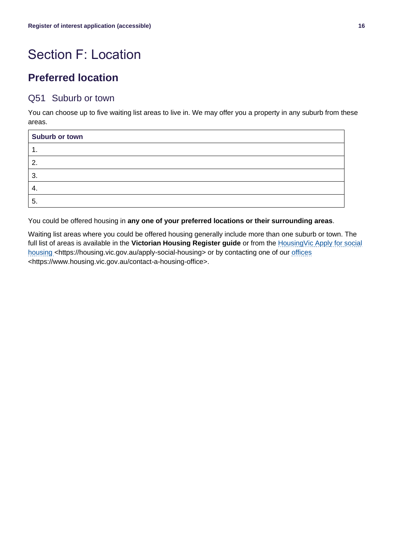# Section F: Location

# **Preferred location**

#### Q51 Suburb or town

You can choose up to five waiting list areas to live in. We may offer you a property in any suburb from these areas.

| Suburb or town |
|----------------|
| . .            |
| 2.             |
| З.             |
| 4.             |
| -5.            |

You could be offered housing in **any one of your preferred locations or their surrounding areas**.

Waiting list areas where you could be offered housing generally include more than one suburb or town. The full list of areas is available in the **Victorian Housing Register guide** or from the [HousingVic Apply for social](https://housing.vic.gov.au/apply-social-housing)  [housing](https://housing.vic.gov.au/apply-social-housing) <https://housing.vic.gov.au/apply-social-housing> or by contacting one of our [offices](https://www.housing.vic.gov.au/contact-a-housing-office) <https://www.housing.vic.gov.au/contact-a-housing-office>.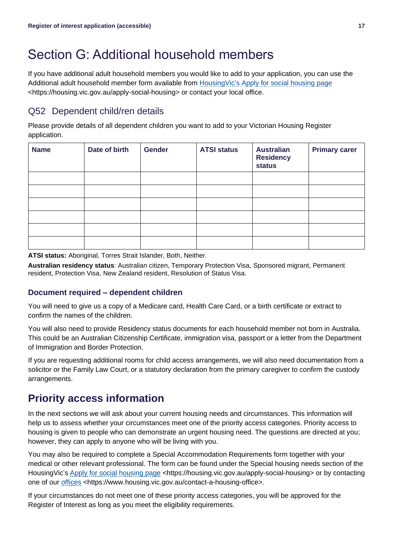# Section G: Additional household members

If you have additional adult household members you would like to add to your application, you can use the Additional adult household member form available from [HousingVic's Apply for social housing page](https://housing.vic.gov.au/apply-social-housing) <https://housing.vic.gov.au/apply-social-housing> or contact your local office.

### Q52 Dependent child/ren details

Please provide details of all dependent children you want to add to your Victorian Housing Register application.

| <b>Name</b> | Date of birth | <b>Gender</b> | <b>ATSI status</b> | <b>Australian</b><br><b>Residency</b><br><b>status</b> | <b>Primary carer</b> |
|-------------|---------------|---------------|--------------------|--------------------------------------------------------|----------------------|
|             |               |               |                    |                                                        |                      |
|             |               |               |                    |                                                        |                      |
|             |               |               |                    |                                                        |                      |
|             |               |               |                    |                                                        |                      |
|             |               |               |                    |                                                        |                      |
|             |               |               |                    |                                                        |                      |

**ATSI status:** Aboriginal, Torres Strait Islander, Both, Neither.

**Australian residency status**: Australian citizen, Temporary Protection Visa, Sponsored migrant, Permanent resident, Protection Visa, New Zealand resident, Resolution of Status Visa.

#### **Document required – dependent children**

You will need to give us a copy of a Medicare card, Health Care Card, or a birth certificate or extract to confirm the names of the children.

You will also need to provide Residency status documents for each household member not born in Australia. This could be an Australian Citizenship Certificate, immigration visa, passport or a letter from the Department of Immigration and Border Protection.

If you are requesting additional rooms for child access arrangements, we will also need documentation from a solicitor or the Family Law Court, or a statutory declaration from the primary caregiver to confirm the custody arrangements.

# **Priority access information**

In the next sections we will ask about your current housing needs and circumstances. This information will help us to assess whether your circumstances meet one of the priority access categories. Priority access to housing is given to people who can demonstrate an urgent housing need. The questions are directed at you; however, they can apply to anyone who will be living with you.

You may also be required to complete a Special Accommodation Requirements form together with your medical or other relevant professional. The form can be found under the Special housing needs section of the HousingVic's [Apply for social housing page](https://housing.vic.gov.au/apply-social-housing) <https://housing.vic.gov.au/apply-social-housing> or by contacting one of our [offices](https://www.housing.vic.gov.au/contact-a-housing-office) <https://www.housing.vic.gov.au/contact-a-housing-office>.

<span id="page-16-0"></span>If your circumstances do not meet one of these priority access categories, you will be approved for the Register of Interest as long as you meet the eligibility requirements.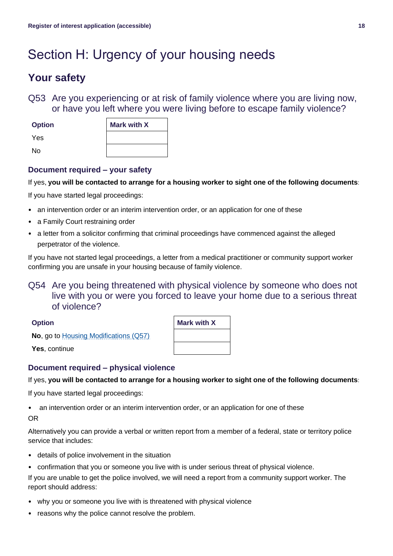# Section H: Urgency of your housing needs

# **Your safety**

Q53 Are you experiencing or at risk of family violence where you are living now, or have you left where you were living before to escape family violence?

| <b>Option</b> | <b>Mark with X</b> |
|---------------|--------------------|
| Yes           |                    |
| No            |                    |

#### **Document required – your safety**

#### If yes, **you will be contacted to arrange for a housing worker to sight one of the following documents**:

If you have started legal proceedings:

- an intervention order or an interim intervention order, or an application for one of these
- a Family Court restraining order
- a letter from a solicitor confirming that criminal proceedings have commenced against the alleged perpetrator of the violence.

If you have not started legal proceedings, a letter from a medical practitioner or community support worker confirming you are unsafe in your housing because of family violence.

#### Q54 Are you being threatened with physical violence by someone who does not live with you or were you forced to leave your home due to a serious threat of violence?

| m<br>ro<br>г |
|--------------|
|--------------|

| <b>Option</b>                                 | <b>Mark with X</b> |
|-----------------------------------------------|--------------------|
| <b>No</b> , go to Housing Modifications (Q57) |                    |
| Yes, continue                                 |                    |

#### **Document required – physical violence**

#### If yes, **you will be contacted to arrange for a housing worker to sight one of the following documents**:

If you have started legal proceedings:

• an intervention order or an interim intervention order, or an application for one of these

OR

Alternatively you can provide a verbal or written report from a member of a federal, state or territory police service that includes:

- details of police involvement in the situation
- confirmation that you or someone you live with is under serious threat of physical violence.

If you are unable to get the police involved, we will need a report from a community support worker. The report should address:

- why you or someone you live with is threatened with physical violence
- reasons why the police cannot resolve the problem.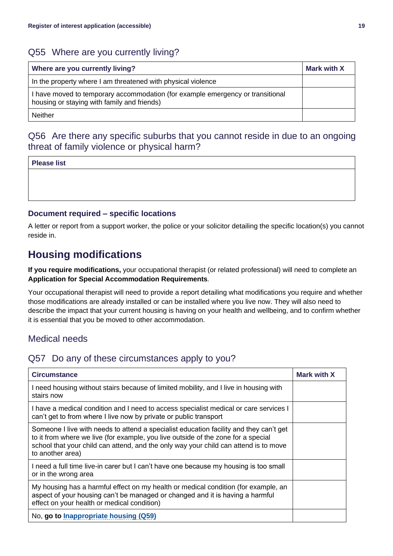#### Q55 Where are you currently living?

| Where are you currently living?                                                                                               | <b>Mark with X</b> |
|-------------------------------------------------------------------------------------------------------------------------------|--------------------|
| In the property where I am threatened with physical violence                                                                  |                    |
| I have moved to temporary accommodation (for example emergency or transitional<br>housing or staying with family and friends) |                    |
| <b>Neither</b>                                                                                                                |                    |

### Q56 Are there any specific suburbs that you cannot reside in due to an ongoing threat of family violence or physical harm?

#### **Please list**

#### **Document required – specific locations**

A letter or report from a support worker, the police or your solicitor detailing the specific location(s) you cannot reside in.

# <span id="page-18-0"></span>**Housing modifications**

**If you require modifications,** your occupational therapist (or related professional) will need to complete an **Application for Special Accommodation Requirements***.*

Your occupational therapist will need to provide a report detailing what modifications you require and whether those modifications are already installed or can be installed where you live now. They will also need to describe the impact that your current housing is having on your health and wellbeing, and to confirm whether it is essential that you be moved to other accommodation.

#### Medical needs

#### Q57 Do any of these circumstances apply to you?

| <b>Circumstance</b>                                                                                                                                                                                                                                                                     | Mark with X |
|-----------------------------------------------------------------------------------------------------------------------------------------------------------------------------------------------------------------------------------------------------------------------------------------|-------------|
| I need housing without stairs because of limited mobility, and I live in housing with<br>stairs now                                                                                                                                                                                     |             |
| I have a medical condition and I need to access specialist medical or care services I<br>can't get to from where I live now by private or public transport                                                                                                                              |             |
| Someone I live with needs to attend a specialist education facility and they can't get<br>to it from where we live (for example, you live outside of the zone for a special<br>school that your child can attend, and the only way your child can attend is to move<br>to another area) |             |
| I need a full time live-in carer but I can't have one because my housing is too small<br>or in the wrong area                                                                                                                                                                           |             |
| My housing has a harmful effect on my health or medical condition (for example, an<br>aspect of your housing can't be managed or changed and it is having a harmful<br>effect on your health or medical condition)                                                                      |             |
| No, go to <b>Inappropriate housing (Q59)</b>                                                                                                                                                                                                                                            |             |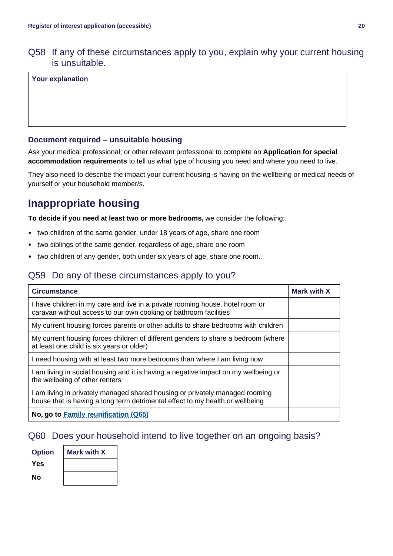Q58 If any of these circumstances apply to you, explain why your current housing is unsuitable.

#### **Your explanation**

#### **Document required – unsuitable housing**

Ask your medical professional, or other relevant professional to complete an **Application for special accommodation requirements** to tell us what type of housing you need and where you need to live.

They also need to describe the impact your current housing is having on the wellbeing or medical needs of yourself or your household member/s.

# <span id="page-19-0"></span>**Inappropriate housing**

**To decide if you need at least two or more bedrooms,** we consider the following:

- two children of the same gender, under 18 years of age, share one room
- two siblings of the same gender, regardless of age, share one room
- two children of any gender, both under six years of age, share one room.

## Q59 Do any of these circumstances apply to you?

| <b>Circumstance</b>                                                                                                                                         | Mark with X |
|-------------------------------------------------------------------------------------------------------------------------------------------------------------|-------------|
| I have children in my care and live in a private rooming house, hotel room or<br>caravan without access to our own cooking or bathroom facilities           |             |
| My current housing forces parents or other adults to share bedrooms with children                                                                           |             |
| My current housing forces children of different genders to share a bedroom (where<br>at least one child is six years or older)                              |             |
| I need housing with at least two more bedrooms than where I am living now                                                                                   |             |
| am living in social housing and it is having a negative impact on my wellbeing or<br>the wellbeing of other renters                                         |             |
| am living in privately managed shared housing or privately managed rooming<br>house that is having a long term detrimental effect to my health or wellbeing |             |
| No, go to Family reunification (Q65)                                                                                                                        |             |

## Q60 Does your household intend to live together on an ongoing basis?

| <b>Option</b> | <b>Mark with X</b> |
|---------------|--------------------|
| Yes           |                    |
| No            |                    |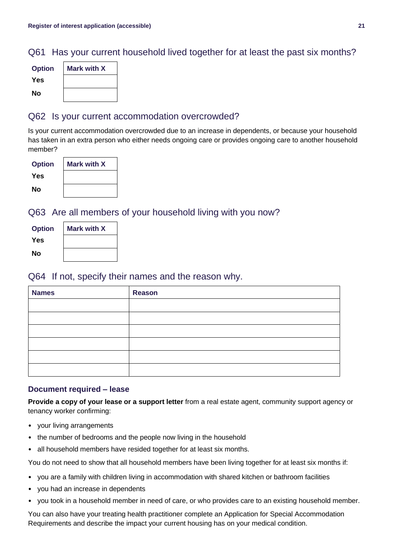### Q61 Has your current household lived together for at least the past six months?

| <b>Option</b> | Mark with X |
|---------------|-------------|
| Yes           |             |
| No            |             |

#### Q62 Is your current accommodation overcrowded?

Is your current accommodation overcrowded due to an increase in dependents, or because your household has taken in an extra person who either needs ongoing care or provides ongoing care to another household member?

| <b>Option</b> | Mark with X |
|---------------|-------------|
| Yes           |             |
| No            |             |

Q63 Are all members of your household living with you now?

| <b>Option</b> | Mark with X |
|---------------|-------------|
| Yes           |             |
| No            |             |

#### Q64 If not, specify their names and the reason why.

| <b>Names</b> | <b>Reason</b> |
|--------------|---------------|
|              |               |
|              |               |
|              |               |
|              |               |
|              |               |
|              |               |

#### **Document required – lease**

**Provide a copy of your lease or a support letter** from a real estate agent, community support agency or tenancy worker confirming:

- your living arrangements
- the number of bedrooms and the people now living in the household
- all household members have resided together for at least six months.

You do not need to show that all household members have been living together for at least six months if:

- you are a family with children living in accommodation with shared kitchen or bathroom facilities
- you had an increase in dependents
- you took in a household member in need of care, or who provides care to an existing household member.

You can also have your treating health practitioner complete an Application for Special Accommodation Requirements and describe the impact your current housing has on your medical condition.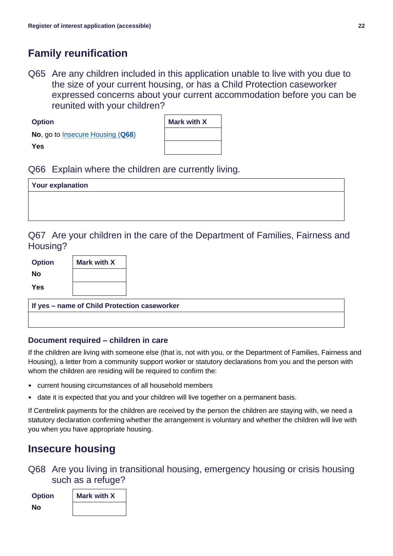# <span id="page-21-0"></span>**Family reunification**

Q65 Are any children included in this application unable to live with you due to the size of your current housing, or has a Child Protection caseworker expressed concerns about your current accommodation before you can be reunited with your children?

| No, go to Insecure Housing (Q68) |  |
|----------------------------------|--|
| <b>Yes</b>                       |  |

**Option** 

| Mark with X |
|-------------|
|             |
|             |
|             |

 $\overline{\phantom{0}}$ 

#### Q66 Explain where the children are currently living.

| <b>Your explanation</b> |  |
|-------------------------|--|
|                         |  |
|                         |  |

#### Q67 Are your children in the care of the Department of Families, Fairness and Housing?

| <b>Option</b> | <b>Mark with X</b> |
|---------------|--------------------|
| Nο            |                    |
| Yes           |                    |

**If yes – name of Child Protection caseworker**

#### **Document required – children in care**

If the children are living with someone else (that is, not with you, or the Department of Families, Fairness and Housing), a letter from a community support worker or statutory declarations from you and the person with whom the children are residing will be required to confirm the:

- current housing circumstances of all household members
- date it is expected that you and your children will live together on a permanent basis.

If Centrelink payments for the children are received by the person the children are staying with, we need a statutory declaration confirming whether the arrangement is voluntary and whether the children will live with you when you have appropriate housing.

# <span id="page-21-1"></span>**Insecure housing**

Q68 Are you living in transitional housing, emergency housing or crisis housing such as a refuge?

| <b>Option</b> | <b>Mark with X</b> |
|---------------|--------------------|
| Nο            |                    |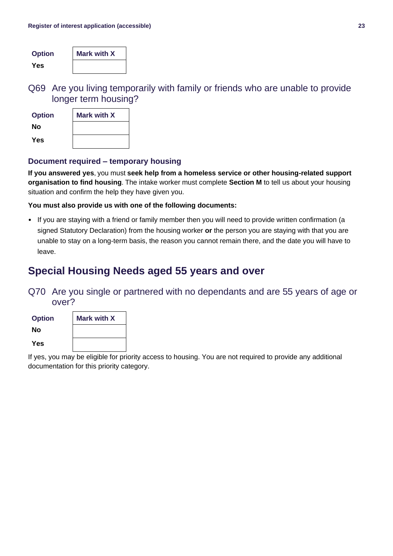| <b>Option</b> | <b>Mark with X</b> |
|---------------|--------------------|
| Yes           |                    |

Q69 Are you living temporarily with family or friends who are unable to provide longer term housing?

| <b>Option</b> | <b>Mark with X</b> |
|---------------|--------------------|
| Nο            |                    |
| Yes           |                    |

#### **Document required – temporary housing**

**If you answered yes**, you must **seek help from a homeless service or other housing-related support organisation to find housing**. The intake worker must complete **Section M** to tell us about your housing situation and confirm the help they have given you.

**You must also provide us with one of the following documents:**

• If you are staying with a friend or family member then you will need to provide written confirmation (a signed Statutory Declaration) from the housing worker **or** the person you are staying with that you are unable to stay on a long-term basis, the reason you cannot remain there, and the date you will have to leave.

## **Special Housing Needs aged 55 years and over**

### Q70 Are you single or partnered with no dependants and are 55 years of age or over?



<span id="page-22-0"></span>If yes, you may be eligible for priority access to housing. You are not required to provide any additional documentation for this priority category.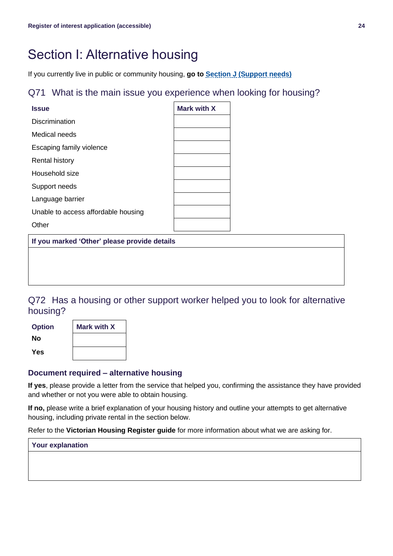# Section I: Alternative housing

If you currently live in public or community housing, **go to [Section J](#page-24-0) (Support needs)**

#### Q71 What is the main issue you experience when looking for housing?

| <b>Issue</b>                        | Mark with X |
|-------------------------------------|-------------|
| <b>Discrimination</b>               |             |
| Medical needs                       |             |
| Escaping family violence            |             |
| <b>Rental history</b>               |             |
| Household size                      |             |
| Support needs                       |             |
| Language barrier                    |             |
| Unable to access affordable housing |             |
| ther                                |             |

**If you marked 'Other' please provide details**

Q72 Has a housing or other support worker helped you to look for alternative housing?

| <b>Option</b> | <b>Mark with X</b> |
|---------------|--------------------|
| Nο            |                    |
| Yes           |                    |

#### **Document required – alternative housing**

**If yes**, please provide a letter from the service that helped you, confirming the assistance they have provided and whether or not you were able to obtain housing.

**If no,** please write a brief explanation of your housing history and outline your attempts to get alternative housing, including private rental in the section below.

Refer to the **Victorian Housing Register guide** for more information about what we are asking for.

| <b>Your explanation</b> |  |
|-------------------------|--|
|-------------------------|--|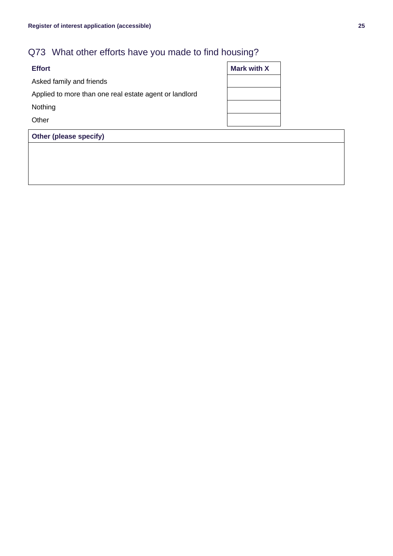# Q73 What other efforts have you made to find housing?

| <b>Effort</b>                                          | <b>Mark with X</b> |
|--------------------------------------------------------|--------------------|
| Asked family and friends                               |                    |
| Applied to more than one real estate agent or landlord |                    |
| Nothing                                                |                    |
| Other                                                  |                    |
|                                                        |                    |

<span id="page-24-0"></span>**Other (please specify)**

| <b>Mark with X</b> |  |
|--------------------|--|
|                    |  |
|                    |  |
|                    |  |
|                    |  |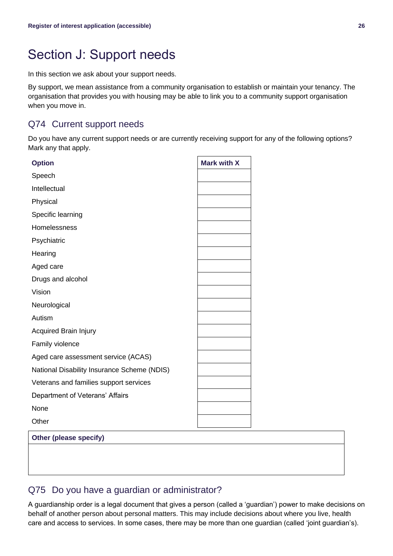# Section J: Support needs

In this section we ask about your support needs.

By support, we mean assistance from a community organisation to establish or maintain your tenancy. The organisation that provides you with housing may be able to link you to a community support organisation when you move in.

### Q74 Current support needs

Do you have any current support needs or are currently receiving support for any of the following options? Mark any that apply.

| <b>Option</b>                               | <b>Mark with X</b> |
|---------------------------------------------|--------------------|
| Speech                                      |                    |
| Intellectual                                |                    |
| Physical                                    |                    |
| Specific learning                           |                    |
| Homelessness                                |                    |
| Psychiatric                                 |                    |
| Hearing                                     |                    |
| Aged care                                   |                    |
| Drugs and alcohol                           |                    |
| Vision                                      |                    |
| Neurological                                |                    |
| Autism                                      |                    |
| <b>Acquired Brain Injury</b>                |                    |
| Family violence                             |                    |
| Aged care assessment service (ACAS)         |                    |
| National Disability Insurance Scheme (NDIS) |                    |
| Veterans and families support services      |                    |
| Department of Veterans' Affairs             |                    |
| None                                        |                    |
| Other                                       |                    |
| Other (please specify)                      |                    |

### Q75 Do you have a guardian or administrator?

A guardianship order is a legal document that gives a person (called a 'guardian') power to make decisions on behalf of another person about personal matters. This may include decisions about where you live, health care and access to services. In some cases, there may be more than one guardian (called 'joint guardian's).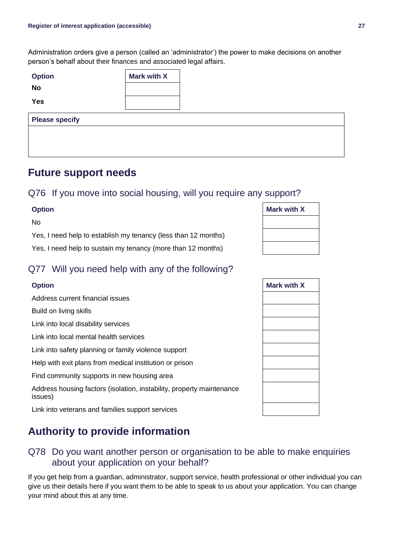Administration orders give a person (called an 'administrator') the power to make decisions on another person's behalf about their finances and associated legal affairs.

| <b>Option</b>         | <b>Mark with X</b> |  |
|-----------------------|--------------------|--|
| <b>No</b>             |                    |  |
| <b>Yes</b>            |                    |  |
|                       |                    |  |
| <b>Please specify</b> |                    |  |
|                       |                    |  |

## **Future support needs**

#### Q76 If you move into social housing, will you require any support?

No

### Q77 Will you need help with any of the following?

Link into veterans and families support services

# **Authority to provide information**

### Q78 Do you want another person or organisation to be able to make enquiries about your application on your behalf?

If you get help from a guardian, administrator, support service, health professional or other individual you can give us their details here if you want them to be able to speak to us about your application. You can change your mind about this at any time.

| <b>Option</b>                                                  | <b>Mark with X</b> |
|----------------------------------------------------------------|--------------------|
| Nο                                                             |                    |
| Yes, I need help to establish my tenancy (less than 12 months) |                    |
| Yes, I need help to sustain my tenancy (more than 12 months)   |                    |

| <b>Option</b>                                                                    | <b>Mark with X</b> |
|----------------------------------------------------------------------------------|--------------------|
| Address current financial issues                                                 |                    |
| Build on living skills                                                           |                    |
| Link into local disability services                                              |                    |
| Link into local mental health services                                           |                    |
| Link into safety planning or family violence support                             |                    |
| Help with exit plans from medical institution or prison                          |                    |
| Find community supports in new housing area                                      |                    |
| Address housing factors (isolation, instability, property maintenance<br>issues) |                    |
| Link into veterans and families support services                                 |                    |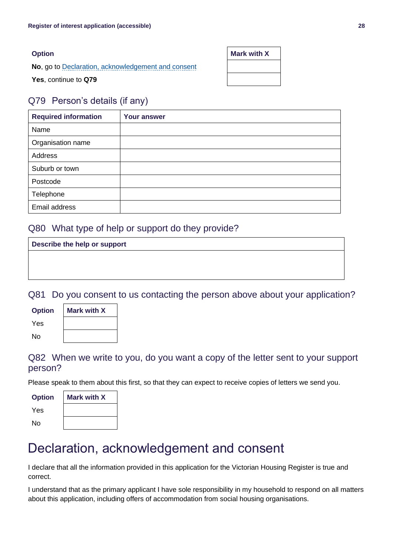| <b>Option</b>                                      | <b>Mark with X</b> |
|----------------------------------------------------|--------------------|
| No, go to Declaration, acknowledgement and consent |                    |
| Yes, continue to Q79                               |                    |

### Q79 Person's details (if any)

| <b>Required information</b> | <b>Your answer</b> |
|-----------------------------|--------------------|
| Name                        |                    |
| Organisation name           |                    |
| Address                     |                    |
| Suburb or town              |                    |
| Postcode                    |                    |
| Telephone                   |                    |
| Email address               |                    |

### Q80 What type of help or support do they provide?

| Describe the help or support |  |
|------------------------------|--|
|                              |  |
|                              |  |
|                              |  |

Q81 Do you consent to us contacting the person above about your application?

| <b>Option</b> | <b>Mark with X</b> |
|---------------|--------------------|
| Yes           |                    |
| No            |                    |

Q82 When we write to you, do you want a copy of the letter sent to your support person?

Please speak to them about this first, so that they can expect to receive copies of letters we send you.

| <b>Option</b> | <b>Mark with X</b> |
|---------------|--------------------|
| Yes           |                    |
| N٥            |                    |

# <span id="page-27-0"></span>Declaration, acknowledgement and consent

I declare that all the information provided in this application for the Victorian Housing Register is true and correct.

I understand that as the primary applicant I have sole responsibility in my household to respond on all matters about this application, including offers of accommodation from social housing organisations.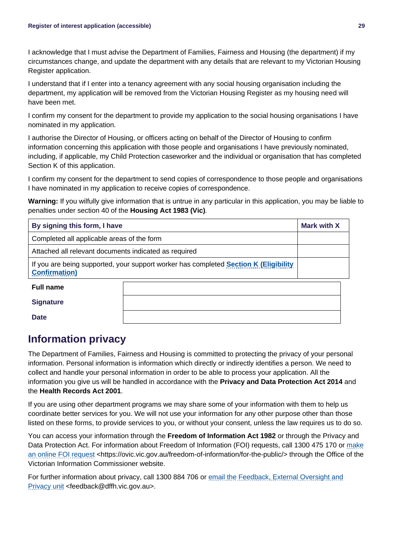I acknowledge that I must advise the Department of Families, Fairness and Housing (the department) if my circumstances change, and update the department with any details that are relevant to my Victorian Housing Register application.

I understand that if I enter into a tenancy agreement with any social housing organisation including the department, my application will be removed from the Victorian Housing Register as my housing need will have been met.

I confirm my consent for the department to provide my application to the social housing organisations I have nominated in my application.

I authorise the Director of Housing, or officers acting on behalf of the Director of Housing to confirm information concerning this application with those people and organisations I have previously nominated, including, if applicable, my Child Protection caseworker and the individual or organisation that has completed Section K of this application.

I confirm my consent for the department to send copies of correspondence to those people and organisations I have nominated in my application to receive copies of correspondence.

**Warning:** If you wilfully give information that is untrue in any particular in this application, you may be liable to penalties under section 40 of the **Housing Act 1983 (Vic)***.*

| By signing this form, I have                                                                                         |  | <b>Mark with X</b> |
|----------------------------------------------------------------------------------------------------------------------|--|--------------------|
| Completed all applicable areas of the form                                                                           |  |                    |
| Attached all relevant documents indicated as required                                                                |  |                    |
| If you are being supported, your support worker has completed <b>Section K (Eligibility</b><br><b>Confirmation</b> ) |  |                    |
| <b>Full name</b>                                                                                                     |  |                    |
| <b>Signature</b>                                                                                                     |  |                    |
| <b>Date</b>                                                                                                          |  |                    |

# **Information privacy**

The Department of Families, Fairness and Housing is committed to protecting the privacy of your personal information. Personal information is information which directly or indirectly identifies a person. We need to collect and handle your personal information in order to be able to process your application. All the information you give us will be handled in accordance with the **Privacy and Data Protection Act 2014** and the **Health Records Act 2001**.

If you are using other department programs we may share some of your information with them to help us coordinate better services for you. We will not use your information for any other purpose other than those listed on these forms, to provide services to you, or without your consent, unless the law requires us to do so.

You can access your information through the **Freedom of Information Act 1982** or through the Privacy and Data Protection Act. For information about Freedom of Information (FOI) requests, call 1300 475 170 or [make](https://ovic.vic.gov.au/freedom-of-information/for-the-public/)  [an online FOI request](https://ovic.vic.gov.au/freedom-of-information/for-the-public/) <https://ovic.vic.gov.au/freedom-of-information/for-the-public/> through the Office of the Victorian Information Commissioner website.

For further information about privacy, call 1300 884 706 or email the Feedback, External Oversight and [Privacy unit](mailto:feedback@dffh.vic.gov.au) <feedback@dffh.vic.gov.au>.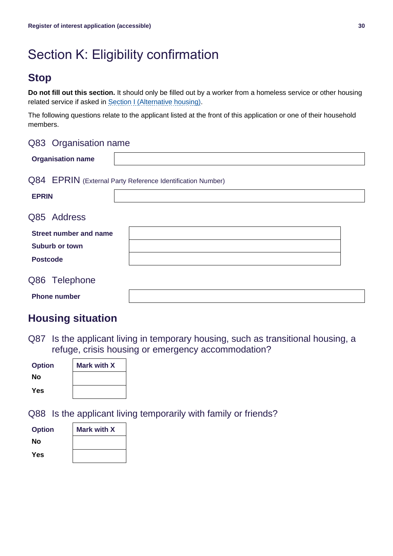# Section K: Eligibility confirmation

# **Stop**

**Do not fill out this section.** It should only be filled out by a worker from a homeless service or other housing related service if asked in [Section I \(Alternative housing\).](#page-22-0)

The following questions relate to the applicant listed at the front of this application or one of their household members.

#### Q83 Organisation name

| <b>Organisation name</b>      |                                                            |  |
|-------------------------------|------------------------------------------------------------|--|
|                               | Q84 EPRIN (External Party Reference Identification Number) |  |
| <b>EPRIN</b>                  |                                                            |  |
| Q85 Address                   |                                                            |  |
| <b>Street number and name</b> |                                                            |  |
| Suburb or town                |                                                            |  |
| <b>Postcode</b>               |                                                            |  |
| Q86 Telephone                 |                                                            |  |
| <b>Phone number</b>           |                                                            |  |

# **Housing situation**

Q87 Is the applicant living in temporary housing, such as transitional housing, a refuge, crisis housing or emergency accommodation?

| <b>Option</b> | <b>Mark with X</b> |  |
|---------------|--------------------|--|
| Nο            |                    |  |
| Yes           |                    |  |

Q88 Is the applicant living temporarily with family or friends?

| <b>Option</b> | <b>Mark with X</b> |
|---------------|--------------------|
| Nο            |                    |
| Yes           |                    |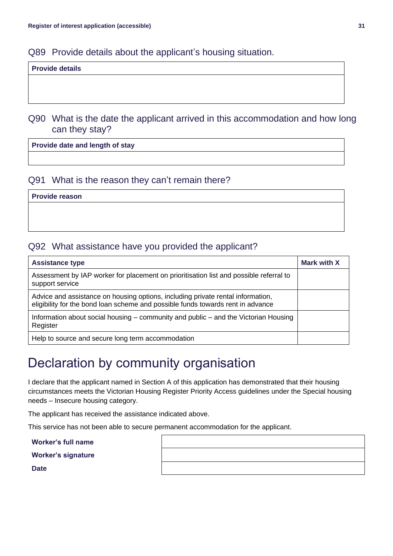#### Q89 Provide details about the applicant's housing situation.

#### **Provide details**

Q90 What is the date the applicant arrived in this accommodation and how long can they stay?

**Provide date and length of stay**

#### Q91 What is the reason they can't remain there?

**Provide reason**

### Q92 What assistance have you provided the applicant?

| <b>Assistance type</b>                                                                                                                                             | <b>Mark with X</b> |
|--------------------------------------------------------------------------------------------------------------------------------------------------------------------|--------------------|
| Assessment by IAP worker for placement on prioritisation list and possible referral to<br>support service                                                          |                    |
| Advice and assistance on housing options, including private rental information,<br>eligibility for the bond loan scheme and possible funds towards rent in advance |                    |
| Information about social housing – community and public – and the Victorian Housing<br>Register                                                                    |                    |
| Help to source and secure long term accommodation                                                                                                                  |                    |

# <span id="page-30-0"></span>Declaration by community organisation

I declare that the applicant named in Section A of this application has demonstrated that their housing circumstances meets the Victorian Housing Register Priority Access guidelines under the Special housing needs – Insecure housing category.

The applicant has received the assistance indicated above.

This service has not been able to secure permanent accommodation for the applicant.

**Worker's full name**

**Worker's signature**

**Date**